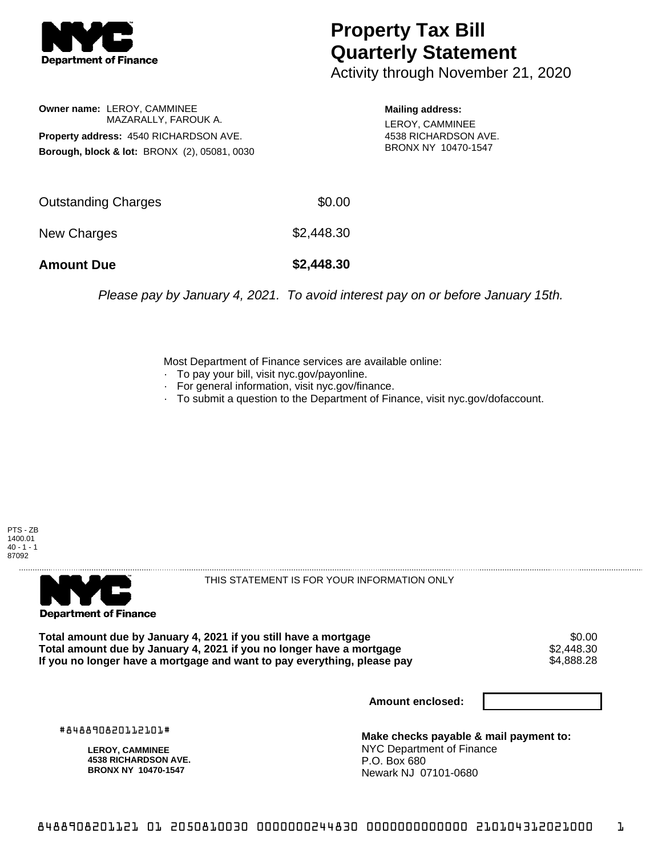

## **Property Tax Bill Quarterly Statement**

Activity through November 21, 2020

**Owner name:** LEROY, CAMMINEE MAZARALLY, FAROUK A. **Property address:** 4540 RICHARDSON AVE. **Borough, block & lot:** BRONX (2), 05081, 0030

**Mailing address:** LEROY, CAMMINEE 4538 RICHARDSON AVE. BRONX NY 10470-1547

| <b>Amount Due</b>   | \$2,448.30 |
|---------------------|------------|
| New Charges         | \$2,448.30 |
| Outstanding Charges | \$0.00     |

Please pay by January 4, 2021. To avoid interest pay on or before January 15th.

Most Department of Finance services are available online:

- · To pay your bill, visit nyc.gov/payonline.
- For general information, visit nyc.gov/finance.
- · To submit a question to the Department of Finance, visit nyc.gov/dofaccount.





THIS STATEMENT IS FOR YOUR INFORMATION ONLY

Total amount due by January 4, 2021 if you still have a mortgage \$0.00<br>Total amount due by January 4, 2021 if you no longer have a mortgage \$2.448.30 **Total amount due by January 4, 2021 if you no longer have a mortgage**  $$2,448.30$ **<br>If you no longer have a mortgage and want to pay everything, please pay**  $$4.888.28$ If you no longer have a mortgage and want to pay everything, please pay

**Amount enclosed:**

#848890820112101#

**LEROY, CAMMINEE 4538 RICHARDSON AVE. BRONX NY 10470-1547**

**Make checks payable & mail payment to:** NYC Department of Finance P.O. Box 680 Newark NJ 07101-0680